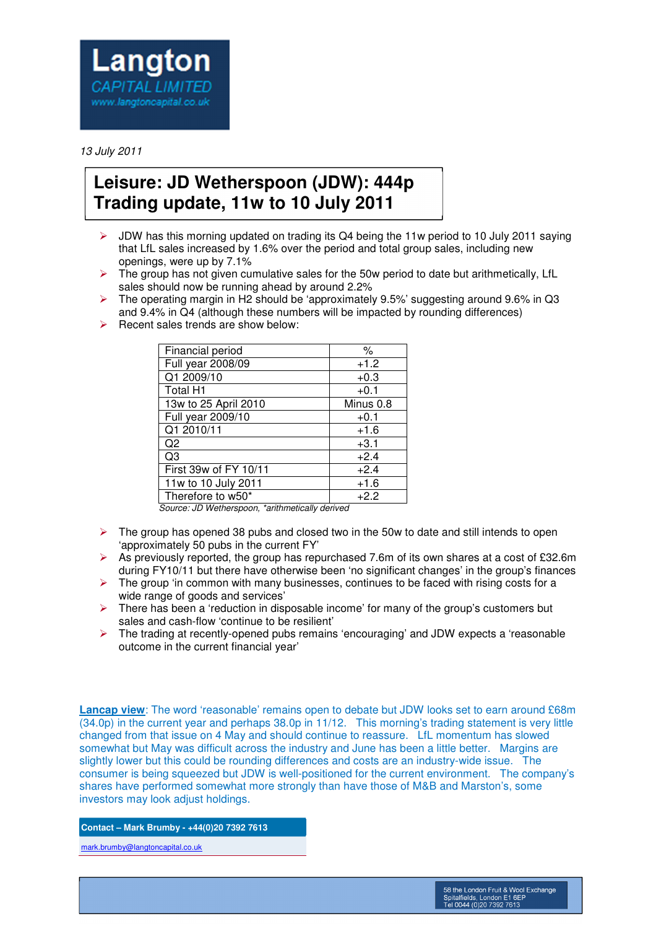

## 13 July 2011

## **Leisure: JD Wetherspoon (JDW): 444p Trading update, 11w to 10 July 2011**

- $\triangleright$  JDW has this morning updated on trading its Q4 being the 11w period to 10 July 2011 saying that LfL sales increased by 1.6% over the period and total group sales, including new openings, were up by 7.1%
- $\triangleright$  The group has not given cumulative sales for the 50w period to date but arithmetically, LfL sales should now be running ahead by around 2.2%
- $\triangleright$  The operating margin in H2 should be 'approximately 9.5%' suggesting around 9.6% in Q3 and 9.4% in Q4 (although these numbers will be impacted by rounding differences)
- $\triangleright$  Recent sales trends are show below:

| Financial period      | $\%$      |
|-----------------------|-----------|
| Full year 2008/09     | $+1.2$    |
| Q1 2009/10            | $+0.3$    |
| Total H1              | $+0.1$    |
| 13w to 25 April 2010  | Minus 0.8 |
| Full year 2009/10     | $+0.1$    |
| Q1 2010/11            | $+1.6$    |
| Q2                    | $+3.1$    |
| Q3                    | $+2.4$    |
| First 39w of FY 10/11 | $+2.4$    |
| 11w to 10 July 2011   | $+1.6$    |
| Therefore to w50*     | $+2.2$    |

Source: JD Wetherspoon, \*arithmetically derived

- $\triangleright$  The group has opened 38 pubs and closed two in the 50w to date and still intends to open 'approximately 50 pubs in the current FY'
- $\triangleright$  As previously reported, the group has repurchased 7.6m of its own shares at a cost of £32.6m during FY10/11 but there have otherwise been 'no significant changes' in the group's finances
- $\triangleright$  The group 'in common with many businesses, continues to be faced with rising costs for a wide range of goods and services'
- $\triangleright$  There has been a 'reduction in disposable income' for many of the group's customers but sales and cash-flow 'continue to be resilient'
- $\triangleright$  The trading at recently-opened pubs remains 'encouraging' and JDW expects a 'reasonable' outcome in the current financial year'

**Lancap view**: The word 'reasonable' remains open to debate but JDW looks set to earn around £68m (34.0p) in the current year and perhaps 38.0p in 11/12. This morning's trading statement is very little changed from that issue on 4 May and should continue to reassure. LfL momentum has slowed somewhat but May was difficult across the industry and June has been a little better. Margins are slightly lower but this could be rounding differences and costs are an industry-wide issue. The consumer is being squeezed but JDW is well-positioned for the current environment. The company's shares have performed somewhat more strongly than have those of M&B and Marston's, some investors may look adjust holdings.

**Contact – Mark Brumby - +44(0)20 7392 7613** 

mark.brumby@langtoncapital.co.uk